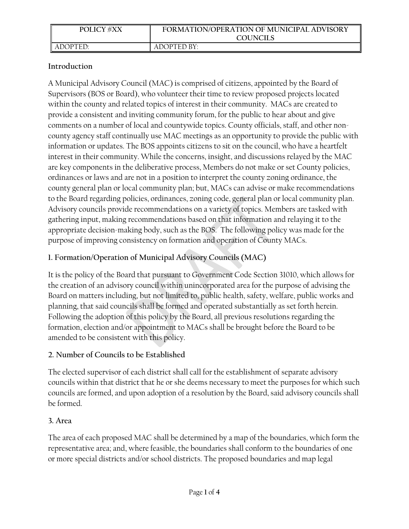| <b>POLICY #XX</b> | FORMATION/OPERATION OF MUNICIPAL ADVISORY<br><b>COUNCILS</b> |
|-------------------|--------------------------------------------------------------|
| ADOPTED:          | ADOPTED BY:                                                  |

## **Introduction**

A Municipal Advisory Council (MAC) is comprised of citizens, appointed by the Board of Supervisors (BOS or Board), who volunteer their time to review proposed projects located within the county and related topics of interest in their community. MACs are created to provide a consistent and inviting community forum, for the public to hear about and give comments on a number of local and countywide topics. County officials, staff, and other noncounty agency staff continually use MAC meetings as an opportunity to provide the public with information or updates. The BOS appoints citizens to sit on the council, who have a heartfelt interest in their community. While the concerns, insight, and discussions relayed by the MAC are key components in the deliberative process, Members do not make or set County policies, ordinances or laws and are not in a position to interpret the county zoning ordinance, the county general plan or local community plan; but, MACs can advise or make recommendations to the Board regarding policies, ordinances, zoning code, general plan or local community plan. Advisory councils provide recommendations on a variety of topics. Members are tasked with gathering input, making recommendations based on that information and relaying it to the appropriate decision-making body, such as the BOS. The following policy was made for the purpose of improving consistency on formation and operation of County MACs.

# **1. Formation/Operation of Municipal Advisory Councils (MAC)**

It is the policy of the Board that pursuant to Government Code Section 31010, which allows for the creation of an advisory council within unincorporated area for the purpose of advising the Board on matters including, but not limited to, public health, safety, welfare, public works and planning, that said councils shall be formed and operated substantially as set forth herein. Following the adoption of this policy by the Board, all previous resolutions regarding the formation, election and/or appointment to MACs shall be brought before the Board to be amended to be consistent with this policy.

## **2. Number of Councils to be Established**

The elected supervisor of each district shall call for the establishment of separate advisory councils within that district that he or she deems necessary to meet the purposes for which such councils are formed, and upon adoption of a resolution by the Board, said advisory councils shall be formed.

## **3. Area**

The area of each proposed MAC shall be determined by a map of the boundaries, which form the representative area; and, where feasible, the boundaries shall conform to the boundaries of one or more special districts and/or school districts. The proposed boundaries and map legal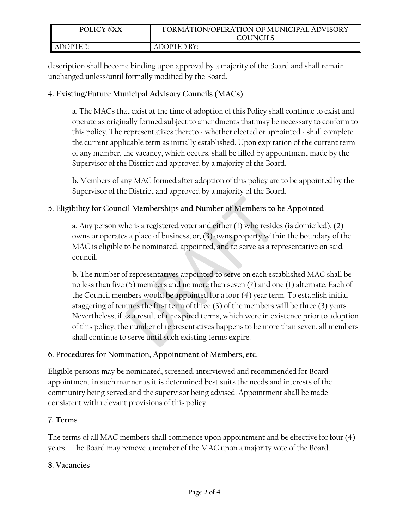| <b>POLICY #XX</b> | FORMATION/OPERATION OF MUNICIPAL ADVISORY |
|-------------------|-------------------------------------------|
|                   | <b>COUNCILS</b>                           |
| LADOPTED:         | ADOPTED BY:                               |

description shall become binding upon approval by a majority of the Board and shall remain unchanged unless/until formally modified by the Board.

### **4. Existing/Future Municipal Advisory Councils (MACs)**

**a.** The MACs that exist at the time of adoption of this Policy shall continue to exist and operate as originally formed subject to amendments that may be necessary to conform to this policy. The representatives thereto - whether elected or appointed - shall complete the current applicable term as initially established. Upon expiration of the current term of any member, the vacancy, which occurs, shall be filled by appointment made by the Supervisor of the District and approved by a majority of the Board.

**b.** Members of any MAC formed after adoption of this policy are to be appointed by the Supervisor of the District and approved by a majority of the Board.

## **5. Eligibility for Council Memberships and Number of Members to be Appointed**

**a.** Any person who is a registered voter and either (1) who resides (is domiciled); (2) owns or operates a place of business; or, (3) owns property within the boundary of the MAC is eligible to be nominated, appointed, and to serve as a representative on said council.

**b.** The number of representatives appointed to serve on each established MAC shall be no less than five (5) members and no more than seven (7) and one (1) alternate. Each of the Council members would be appointed for a four (4) year term. To establish initial staggering of tenures the first term of three (3) of the members will be three (3) years. Nevertheless, if as a result of unexpired terms, which were in existence prior to adoption of this policy, the number of representatives happens to be more than seven, all members shall continue to serve until such existing terms expire.

#### **6. Procedures for Nomination, Appointment of Members, etc.**

Eligible persons may be nominated, screened, interviewed and recommended for Board appointment in such manner as it is determined best suits the needs and interests of the community being served and the supervisor being advised. Appointment shall be made consistent with relevant provisions of this policy.

#### **7. Terms**

The terms of all MAC members shall commence upon appointment and be effective for four (4) years. The Board may remove a member of the MAC upon a majority vote of the Board.

#### **8. Vacancies**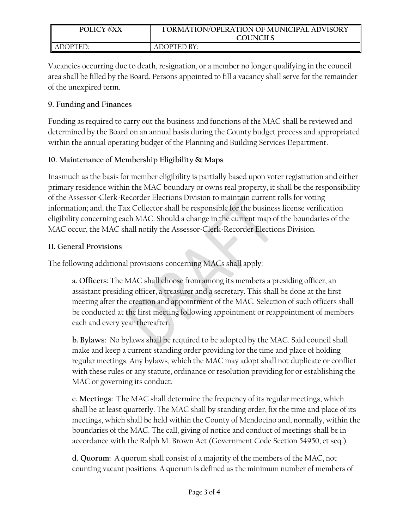| <b>POLICY #XX</b> | FORMATION/OPERATION OF MUNICIPAL ADVISORY<br><b>COUNCILS</b> |
|-------------------|--------------------------------------------------------------|
| LADOPTED:         | ADOPTED BY:                                                  |

Vacancies occurring due to death, resignation, or a member no longer qualifying in the council area shall be filled by the Board. Persons appointed to fill a vacancy shall serve for the remainder of the unexpired term.

## **9. Funding and Finances**

Funding as required to carry out the business and functions of the MAC shall be reviewed and determined by the Board on an annual basis during the County budget process and appropriated within the annual operating budget of the Planning and Building Services Department.

# **10. Maintenance of Membership Eligibility & Maps**

Inasmuch as the basis for member eligibility is partially based upon voter registration and either primary residence within the MAC boundary or owns real property, it shall be the responsibility of the Assessor-Clerk-Recorder Elections Division to maintain current rolls for voting information; and, the Tax Collector shall be responsible for the business license verification eligibility concerning each MAC. Should a change in the current map of the boundaries of the MAC occur, the MAC shall notify the Assessor-Clerk-Recorder Elections Division.

## **11. General Provisions**

The following additional provisions concerning MACs shall apply:

**a. Officers:** The MAC shall choose from among its members a presiding officer, an assistant presiding officer, a treasurer and a secretary. This shall be done at the first meeting after the creation and appointment of the MAC. Selection of such officers shall be conducted at the first meeting following appointment or reappointment of members each and every year thereafter.

**b. Bylaws:** No bylaws shall be required to be adopted by the MAC. Said council shall make and keep a current standing order providing for the time and place of holding regular meetings. Any bylaws, which the MAC may adopt shall not duplicate or conflict with these rules or any statute, ordinance or resolution providing for or establishing the MAC or governing its conduct.

**c. Meetings:** The MAC shall determine the frequency of its regular meetings, which shall be at least quarterly. The MAC shall by standing order, fix the time and place of its meetings, which shall be held within the County of Mendocino and, normally, within the boundaries of the MAC. The call, giving of notice and conduct of meetings shall be in accordance with the Ralph M. Brown Act (Government Code Section 54950, et seq.).

**d. Quorum:** A quorum shall consist of a majority of the members of the MAC, not counting vacant positions. A quorum is defined as the minimum number of members of